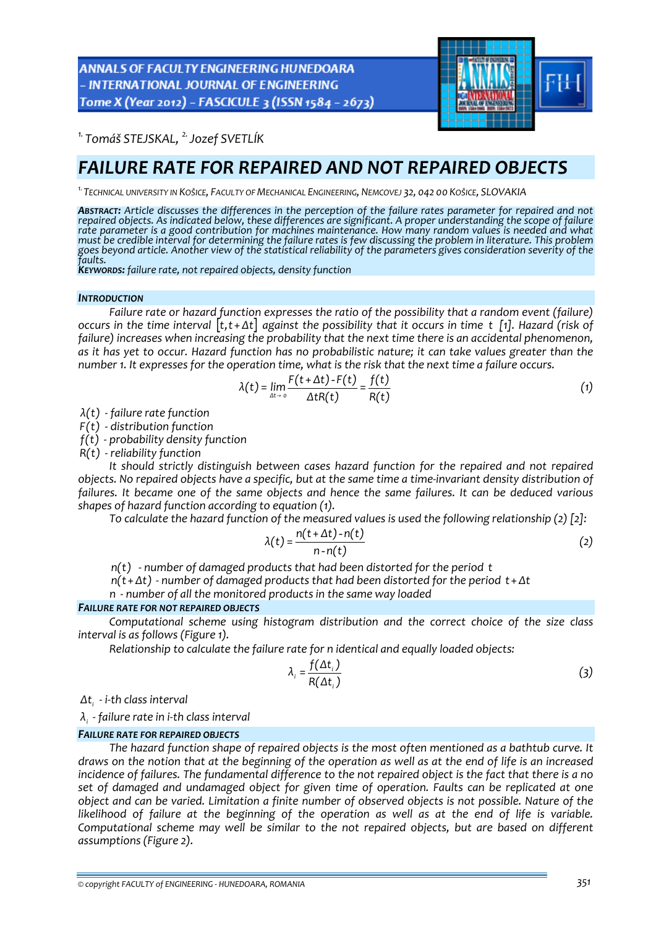**ANNALS OF FACULTY ENGINEERING HUNEDOARA** - INTERNATIONAL JOURNAL OF ENGINEERING Tome X (Year 2012) - FASCICULE 3 (ISSN 1584 - 2673)



*1. Tomáš STEJSKAL, 2.Jozef SVETLÍK* 

# *FAILURE RATE FOR REPAIRED AND NOT REPAIRED OBJECTS*

*1.TECHNICAL UNIVERSITY IN KOŠICE, FACULTY OF MECHANICAL ENGINEERING, NEMCOVEJ 32, 042 00 KOŠICE, SLOVAKIA*

**Abstract:** Article discusses the differences in the perception of the failure rates parameter for repaired and not repaired objects. As indicated below, these differences are significant. A proper understanding the scope of failure *rate parameter is a good contribution for machines maintenance. How many random values is needed and what* must be credible interval for determining the failure rates is few discussing the problem in literature. This problem goes beyond article. Another view of the statistical reliability of the parameters gives consideration severity of the *faults.*

*KEYWORDS: failure rate, not repaired objects, density function*

#### *INTRODUCTION*

*Failure rate or hazard function expresses the ratio of the possibility that a random event (failure)* occurs in the time interval  $[t, t + \Delta t]$  against the possibility that it occurs in time t [1]. Hazard (risk of *failure) increases when increasing the probability that the next time there is an accidental phenomenon,* as it has yet to occur. Hazard function has no probabilistic nature; it can take values greater than the number 1. It expresses for the operation time, what is the risk that the next time a failure occurs.

$$
\lambda(t) = \lim_{\Delta t \to 0} \frac{F(t + \Delta t) - F(t)}{\Delta t R(t)} = \frac{f(t)}{R(t)}
$$
(1)

*λ ‐ (t) failure rate function*

*F(t) ‐ distribution function*

*f(t) ‐ probability density function*

*R(t) ‐ reliability function*

*It should strictly distinguish between cases hazard function for the repaired and not repaired* objects. No repaired objects have a specific, but at the same time a time-invariant density distribution of *failures. It became one of the same objects and hence the same failures. It can be deduced various shapes of hazard function according to equation (1).*

*To calculate the hazard function of the measured values is used the following relationship (2) [2]:*

$$
\lambda(t) = \frac{n(t + \Delta t) - n(t)}{n - n(t)}
$$
 (2)

*n(t) ‐ number of damaged products that had been distorted for the period t*

*n(t*+ *Δt) ‐ number of damaged products that had been distorted for the period t*+ *Δt*

*n ‐ number of all the monitored products in the same way loaded*

#### *FAILURE RATE FOR NOT REPAIRED OBJECTS*

*Computational scheme using histogram distribution and the correct choice of the size class interval is as follows (Figure 1).*

*Relationship to calculate the failure rate for n identical and equally loaded objects:*

$$
\lambda_i = \frac{f(\Delta t_i)}{R(\Delta t_i)}
$$
\n(3)

*<sup>i</sup> Δt ‐ i‐th class interval*

*<sup>i</sup> λ ‐ failure rate in i‐th class interval*

### *FAILURE RATE FOR REPAIRED OBJECTS*

*The hazard function shape of repaired objects is the most often mentioned as a bathtub curve. It* draws on the notion that at the beginning of the operation as well as at the end of life is an increased incidence of failures. The fundamental difference to the not repaired object is the fact that there is a no *set of damaged and undamaged object for given time of operation. Faults can be replicated at one* object and can be varied. Limitation a finite number of observed objects is not possible. Nature of the likelihood of failure at the beginning of the operation as well as at the end of life is variable. *Computational scheme may well be similar to the not repaired objects, but are based on different assumptions (Figure 2).*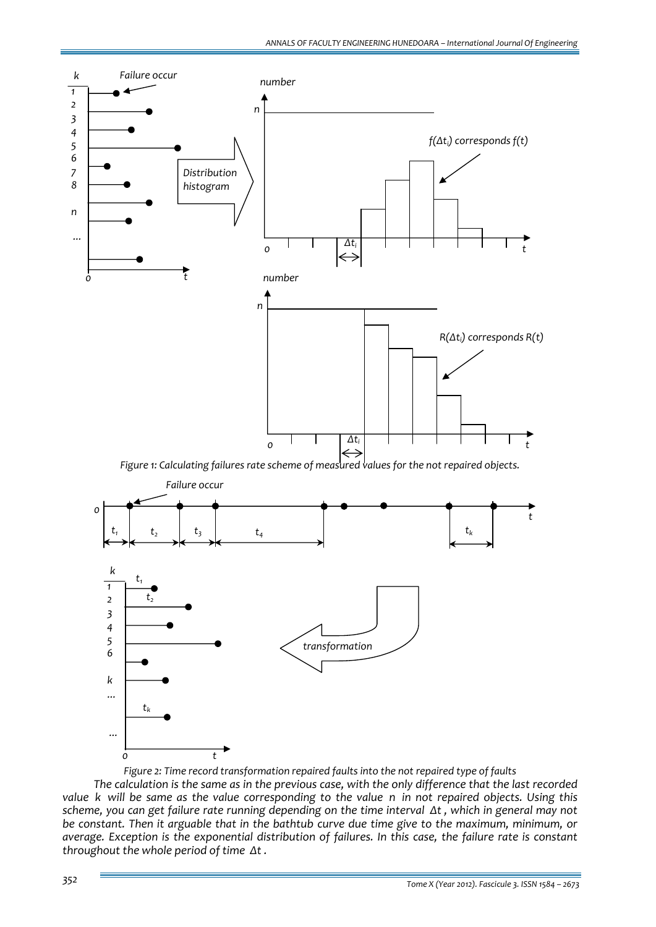

*Figure 2: Time record transformation repaired faults into the not repaired type of faults*

The calculation is the same as in the previous case, with the only difference that the last recorded value k will be same as the value corresponding to the value n in not repaired objects. Using this scheme, you can get failure rate running depending on the time interval At, which in general may not *be constant. Then it arguable that in the bathtub curve due time give to the maximum, minimum, or average. Exception is the exponential distribution of failures. In this case, the failure rate is constant throughout the whole period of time Δt .*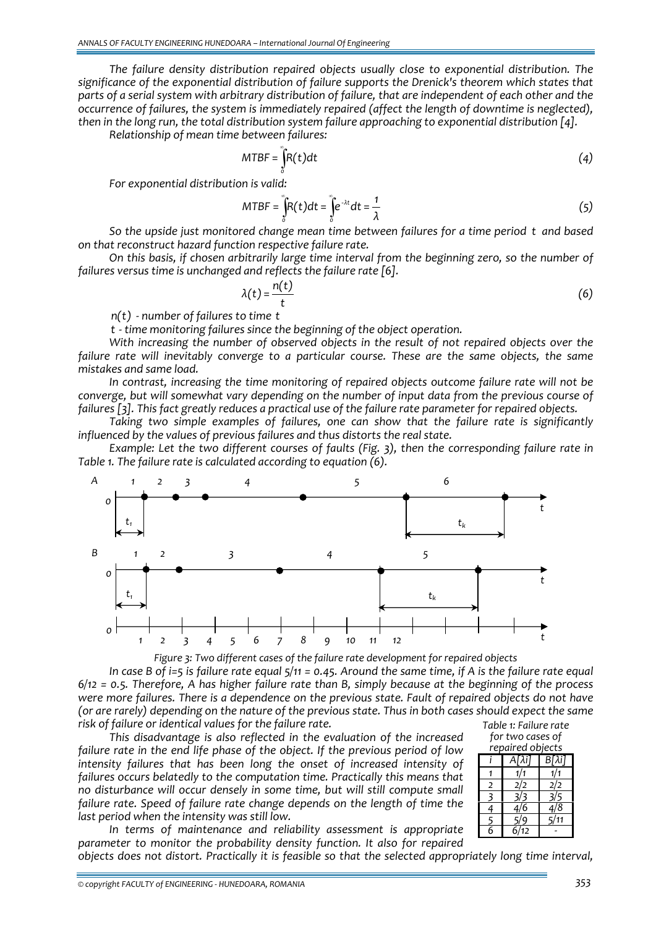*The failure density distribution repaired objects usually close to exponential distribution. The significance of the exponential distribution of failure supports the Drenick's theorem which states that* parts of a serial system with arbitrary distribution of failure, that are independent of each other and the *occurrence of failures, the system is immediately repaired (affect the length of downtime is neglected), then in the long run, the total distribution system failure approaching to exponential distribution [4].*

*Relationship of mean time between failures:*

$$
MTBF = \int_{0}^{\infty} R(t)dt
$$
 (4)

*For exponential distribution is valid:*

$$
MTBF = \int_{0}^{\infty} R(t)dt = \int_{0}^{\infty} e^{-\lambda t}dt = \frac{1}{\lambda}
$$
 (5)

*So the upside just monitored change mean time between failures for a time period t and based on that reconstruct hazard function respective failure rate.*

*On this basis, if chosen arbitrarily large time interval from the beginning zero, so the number of failures versus time is unchanged and reflects the failure rate [6].*

$$
\lambda(t) = \frac{n(t)}{t} \tag{6}
$$

*n(t) ‐ number of failures to time t*

*t ‐ time monitoring failures since the beginning of the object operation.* 

*With increasing the number of observed objects in the result of not repaired objects over the failure rate will inevitably converge to a particular course. These are the same objects, the same mistakes and same load.*

*In contrast, increasing the time monitoring of repaired objects outcome failure rate will not be converge, but will somewhat vary depending on the number of input data from the previous course of* failures [3]. This fact greatly reduces a practical use of the failure rate parameter for repaired objects.

*Taking two simple examples of failures, one can show that the failure rate is significantly influenced by the values of previous failures and thus distorts the real state.*

*Example: Let the two different courses of faults (Fig. 3), then the corresponding failure rate in Table 1. The failure rate is calculated according to equation (6).*



In case B of i=5 is failure rate equal  $5/11 = 0.45$ . Around the same time, if A is the failure rate equal  $6/12$  = 0.5. Therefore, A has higher failure rate than B, simply because at the beginning of the process were more failures. There is a dependence on the previous state. Fault of repaired objects do not have (or are rarely) depending on the nature of the previous state. Thus in both cases should expect the same *risk of failure or identical values for the failure rate. Table 1: Failure rate*

*This disadvantage is also reflected in the evaluation of the increased failure rate in the end life phase of the object. If the previous period of low intensity failures that has been long the onset of increased intensity of failures occurs belatedly to the computation time. Practically this means that no disturbance will occur densely in some time, but will still compute small failure rate. Speed of failure rate change depends on the length of time the last period when the intensity was still low.*

*for two cases of repaired objects i A[λi] B[λi] 1 1/1 1/1 2 2/2 2/2 3 3/3 3/5 4 4/6 4/8 5 5/9 5/11 6 6/12 ‐* 

*In terms of maintenance and reliability assessment is appropriate parameter to monitor the probability density function. It also for repaired*

*objects does not distort. Practically it is feasible so that the selected appropriately long time interval,*